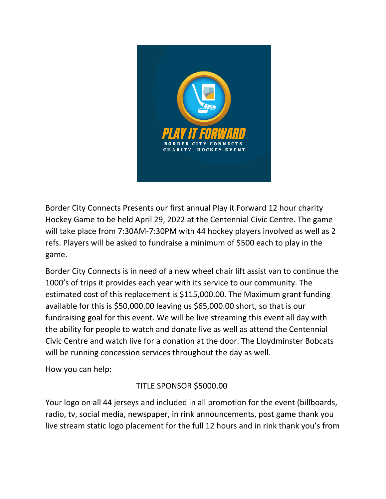

Border City Connects Presents our first annual Play it Forward 12 hour charity Hockey Game to be held April 29, 2022 at the Centennial Civic Centre. The game will take place from 7:30AM-7:30PM with 44 hockey players involved as well as 2 refs. Players will be asked to fundraise a minimum of \$500 each to play in the game.

Border City Connects is in need of a new wheel chair lift assist van to continue the 1000's of trips it provides each year with its service to our community. The estimated cost of this replacement is \$115,000.00. The Maximum grant funding available for this is \$50,000.00 leaving us \$65,000.00 short, so that is our fundraising goal for this event. We will be live streaming this event all day with the ability for people to watch and donate live as well as attend the Centennial Civic Centre and watch live for a donation at the door. The Lloydminster Bobcats will be running concession services throughout the day as well.

How you can help:

# TITLE SPONSOR \$5000.00

Your logo on all 44 jerseys and included in all promotion for the event (billboards, radio, tv, social media, newspaper, in rink announcements, post game thank you live stream static logo placement for the full 12 hours and in rink thank you's from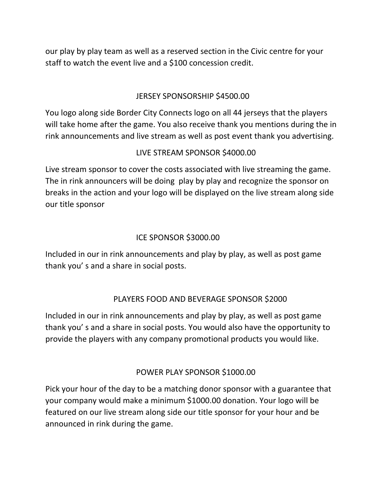our play by play team as well as a reserved section in the Civic centre for your staff to watch the event live and a \$100 concession credit.

## JERSEY SPONSORSHIP \$4500.00

You logo along side Border City Connects logo on all 44 jerseys that the players will take home after the game. You also receive thank you mentions during the in rink announcements and live stream as well as post event thank you advertising.

## LIVE STREAM SPONSOR \$4000.00

Live stream sponsor to cover the costs associated with live streaming the game. The in rink announcers will be doing play by play and recognize the sponsor on breaks in the action and your logo will be displayed on the live stream along side our title sponsor

## ICE SPONSOR \$3000.00

Included in our in rink announcements and play by play, as well as post game thank you' s and a share in social posts.

#### PLAYERS FOOD AND BEVERAGE SPONSOR \$2000

Included in our in rink announcements and play by play, as well as post game thank you' s and a share in social posts. You would also have the opportunity to provide the players with any company promotional products you would like.

#### POWER PLAY SPONSOR \$1000.00

Pick your hour of the day to be a matching donor sponsor with a guarantee that your company would make a minimum \$1000.00 donation. Your logo will be featured on our live stream along side our title sponsor for your hour and be announced in rink during the game.